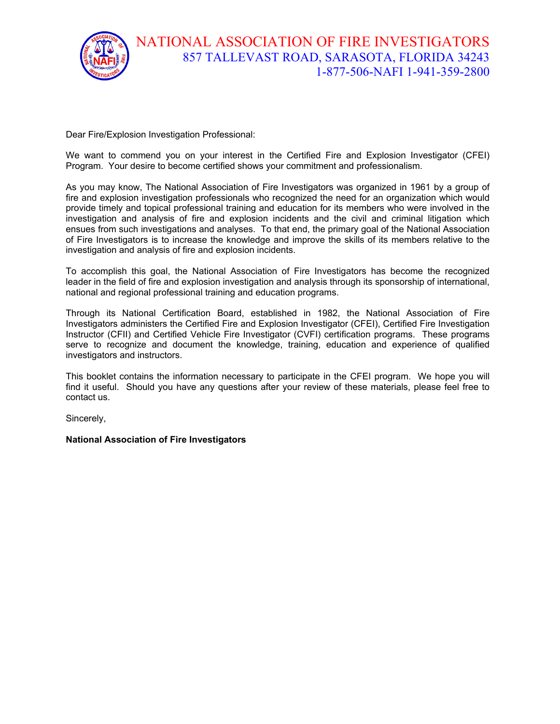

Dear Fire/Explosion Investigation Professional:

We want to commend you on your interest in the Certified Fire and Explosion Investigator (CFEI) Program. Your desire to become certified shows your commitment and professionalism.

As you may know, The National Association of Fire Investigators was organized in 1961 by a group of fire and explosion investigation professionals who recognized the need for an organization which would provide timely and topical professional training and education for its members who were involved in the investigation and analysis of fire and explosion incidents and the civil and criminal litigation which ensues from such investigations and analyses. To that end, the primary goal of the National Association of Fire Investigators is to increase the knowledge and improve the skills of its members relative to the investigation and analysis of fire and explosion incidents.

To accomplish this goal, the National Association of Fire Investigators has become the recognized leader in the field of fire and explosion investigation and analysis through its sponsorship of international, national and regional professional training and education programs.

Through its National Certification Board, established in 1982, the National Association of Fire Investigators administers the Certified Fire and Explosion Investigator (CFEI), Certified Fire Investigation Instructor (CFII) and Certified Vehicle Fire Investigator (CVFI) certification programs. These programs serve to recognize and document the knowledge, training, education and experience of qualified investigators and instructors.

This booklet contains the information necessary to participate in the CFEI program. We hope you will find it useful. Should you have any questions after your review of these materials, please feel free to contact us.

Sincerely,

**National Association of Fire Investigators**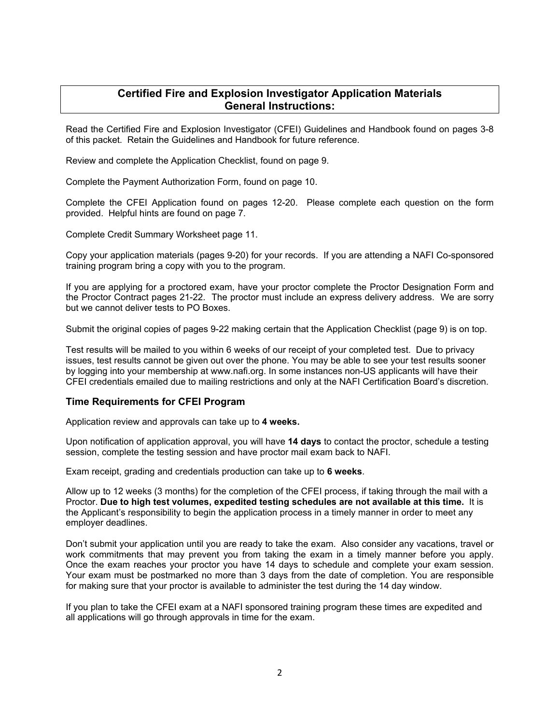#### **Certified Fire and Explosion Investigator Application Materials General Instructions:**

Read the Certified Fire and Explosion Investigator (CFEI) Guidelines and Handbook found on pages 3-8 of this packet. Retain the Guidelines and Handbook for future reference.

Review and complete the Application Checklist, found on page 9.

Complete the Payment Authorization Form, found on page 10.

Complete the CFEI Application found on pages 12-20. Please complete each question on the form provided. Helpful hints are found on page 7.

Complete Credit Summary Worksheet page 11.

Copy your application materials (pages 9-20) for your records. If you are attending a NAFI Co-sponsored training program bring a copy with you to the program.

If you are applying for a proctored exam, have your proctor complete the Proctor Designation Form and the Proctor Contract pages 21-22. The proctor must include an express delivery address. We are sorry but we cannot deliver tests to PO Boxes.

Submit the original copies of pages 9-22 making certain that the Application Checklist (page 9) is on top.

Test results will be mailed to you within 6 weeks of our receipt of your completed test. Due to privacy issues, test results cannot be given out over the phone. You may be able to see your test results sooner by logging into your membership at www.nafi.org. In some instances non-US applicants will have their CFEI credentials emailed due to mailing restrictions and only at the NAFI Certification Board's discretion.

#### **Time Requirements for CFEI Program**

Application review and approvals can take up to **4 weeks.**

Upon notification of application approval, you will have **14 days** to contact the proctor, schedule a testing session, complete the testing session and have proctor mail exam back to NAFI.

Exam receipt, grading and credentials production can take up to **6 weeks**.

Allow up to 12 weeks (3 months) for the completion of the CFEI process, if taking through the mail with a Proctor. **Due to high test volumes, expedited testing schedules are not available at this time.** It is the Applicant's responsibility to begin the application process in a timely manner in order to meet any employer deadlines.

Don't submit your application until you are ready to take the exam. Also consider any vacations, travel or work commitments that may prevent you from taking the exam in a timely manner before you apply. Once the exam reaches your proctor you have 14 days to schedule and complete your exam session. Your exam must be postmarked no more than 3 days from the date of completion. You are responsible for making sure that your proctor is available to administer the test during the 14 day window.

If you plan to take the CFEI exam at a NAFI sponsored training program these times are expedited and all applications will go through approvals in time for the exam.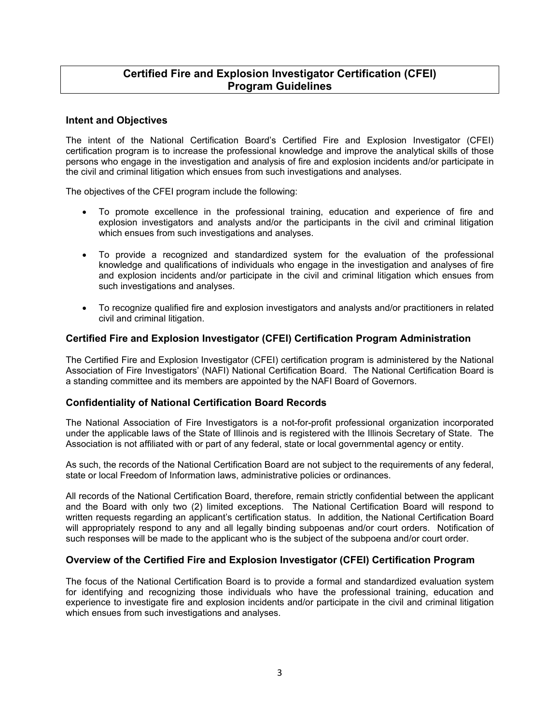#### **Certified Fire and Explosion Investigator Certification (CFEI) Program Guidelines**

#### **Intent and Objectives**

The intent of the National Certification Board's Certified Fire and Explosion Investigator (CFEI) certification program is to increase the professional knowledge and improve the analytical skills of those persons who engage in the investigation and analysis of fire and explosion incidents and/or participate in the civil and criminal litigation which ensues from such investigations and analyses.

The objectives of the CFEI program include the following:

- To promote excellence in the professional training, education and experience of fire and explosion investigators and analysts and/or the participants in the civil and criminal litigation which ensues from such investigations and analyses.
- To provide a recognized and standardized system for the evaluation of the professional knowledge and qualifications of individuals who engage in the investigation and analyses of fire and explosion incidents and/or participate in the civil and criminal litigation which ensues from such investigations and analyses.
- To recognize qualified fire and explosion investigators and analysts and/or practitioners in related civil and criminal litigation.

#### **Certified Fire and Explosion Investigator (CFEI) Certification Program Administration**

The Certified Fire and Explosion Investigator (CFEI) certification program is administered by the National Association of Fire Investigators' (NAFI) National Certification Board. The National Certification Board is a standing committee and its members are appointed by the NAFI Board of Governors.

#### **Confidentiality of National Certification Board Records**

The National Association of Fire Investigators is a not-for-profit professional organization incorporated under the applicable laws of the State of Illinois and is registered with the Illinois Secretary of State. The Association is not affiliated with or part of any federal, state or local governmental agency or entity.

As such, the records of the National Certification Board are not subject to the requirements of any federal, state or local Freedom of Information laws, administrative policies or ordinances.

All records of the National Certification Board, therefore, remain strictly confidential between the applicant and the Board with only two (2) limited exceptions. The National Certification Board will respond to written requests regarding an applicant's certification status. In addition, the National Certification Board will appropriately respond to any and all legally binding subpoenas and/or court orders. Notification of such responses will be made to the applicant who is the subject of the subpoena and/or court order.

#### **Overview of the Certified Fire and Explosion Investigator (CFEI) Certification Program**

The focus of the National Certification Board is to provide a formal and standardized evaluation system for identifying and recognizing those individuals who have the professional training, education and experience to investigate fire and explosion incidents and/or participate in the civil and criminal litigation which ensues from such investigations and analyses.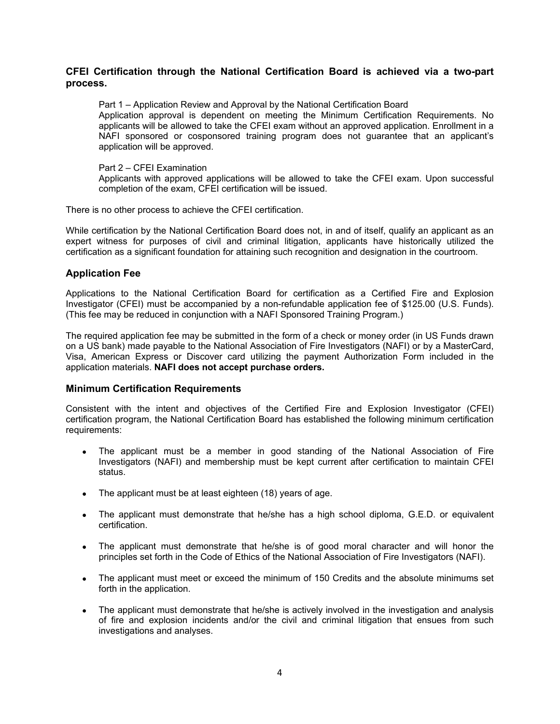#### **CFEI Certification through the National Certification Board is achieved via a two-part process.**

Part 1 – Application Review and Approval by the National Certification Board Application approval is dependent on meeting the Minimum Certification Requirements. No applicants will be allowed to take the CFEI exam without an approved application. Enrollment in a NAFI sponsored or cosponsored training program does not guarantee that an applicant's application will be approved.

#### Part 2 – CFEI Examination

Applicants with approved applications will be allowed to take the CFEI exam. Upon successful completion of the exam, CFEI certification will be issued.

There is no other process to achieve the CFEI certification.

While certification by the National Certification Board does not, in and of itself, qualify an applicant as an expert witness for purposes of civil and criminal litigation, applicants have historically utilized the certification as a significant foundation for attaining such recognition and designation in the courtroom.

#### **Application Fee**

Applications to the National Certification Board for certification as a Certified Fire and Explosion Investigator (CFEI) must be accompanied by a non-refundable application fee of \$125.00 (U.S. Funds). (This fee may be reduced in conjunction with a NAFI Sponsored Training Program.)

The required application fee may be submitted in the form of a check or money order (in US Funds drawn on a US bank) made payable to the National Association of Fire Investigators (NAFI) or by a MasterCard, Visa, American Express or Discover card utilizing the payment Authorization Form included in the application materials. **NAFI does not accept purchase orders.**

#### **Minimum Certification Requirements**

Consistent with the intent and objectives of the Certified Fire and Explosion Investigator (CFEI) certification program, the National Certification Board has established the following minimum certification requirements:

- The applicant must be a member in good standing of the National Association of Fire Investigators (NAFI) and membership must be kept current after certification to maintain CFEI status.
- The applicant must be at least eighteen (18) years of age.
- The applicant must demonstrate that he/she has a high school diploma, G.E.D. or equivalent certification.
- The applicant must demonstrate that he/she is of good moral character and will honor the principles set forth in the Code of Ethics of the National Association of Fire Investigators (NAFI).
- The applicant must meet or exceed the minimum of 150 Credits and the absolute minimums set forth in the application.
- The applicant must demonstrate that he/she is actively involved in the investigation and analysis of fire and explosion incidents and/or the civil and criminal litigation that ensues from such investigations and analyses.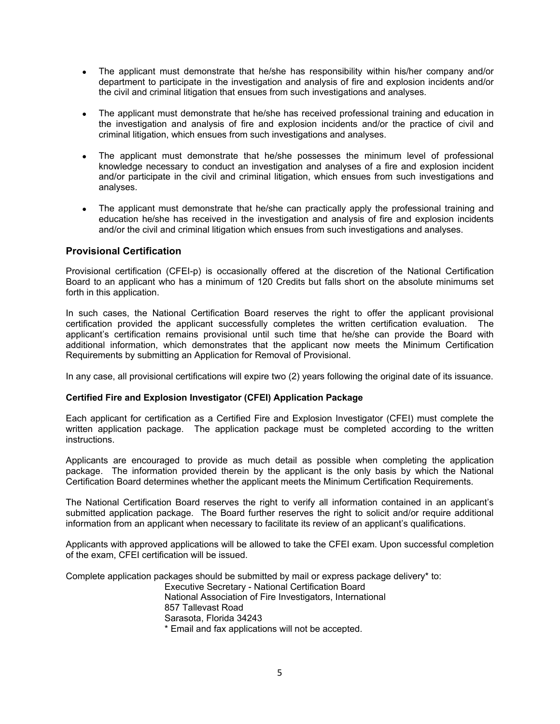- The applicant must demonstrate that he/she has responsibility within his/her company and/or department to participate in the investigation and analysis of fire and explosion incidents and/or the civil and criminal litigation that ensues from such investigations and analyses.
- The applicant must demonstrate that he/she has received professional training and education in the investigation and analysis of fire and explosion incidents and/or the practice of civil and criminal litigation, which ensues from such investigations and analyses.
- The applicant must demonstrate that he/she possesses the minimum level of professional knowledge necessary to conduct an investigation and analyses of a fire and explosion incident and/or participate in the civil and criminal litigation, which ensues from such investigations and analyses.
- The applicant must demonstrate that he/she can practically apply the professional training and education he/she has received in the investigation and analysis of fire and explosion incidents and/or the civil and criminal litigation which ensues from such investigations and analyses.

#### **Provisional Certification**

Provisional certification (CFEI-p) is occasionally offered at the discretion of the National Certification Board to an applicant who has a minimum of 120 Credits but falls short on the absolute minimums set forth in this application.

In such cases, the National Certification Board reserves the right to offer the applicant provisional certification provided the applicant successfully completes the written certification evaluation. The applicant's certification remains provisional until such time that he/she can provide the Board with additional information, which demonstrates that the applicant now meets the Minimum Certification Requirements by submitting an Application for Removal of Provisional.

In any case, all provisional certifications will expire two (2) years following the original date of its issuance.

#### **Certified Fire and Explosion Investigator (CFEI) Application Package**

Each applicant for certification as a Certified Fire and Explosion Investigator (CFEI) must complete the written application package. The application package must be completed according to the written instructions.

Applicants are encouraged to provide as much detail as possible when completing the application package. The information provided therein by the applicant is the only basis by which the National Certification Board determines whether the applicant meets the Minimum Certification Requirements.

The National Certification Board reserves the right to verify all information contained in an applicant's submitted application package. The Board further reserves the right to solicit and/or require additional information from an applicant when necessary to facilitate its review of an applicant's qualifications.

Applicants with approved applications will be allowed to take the CFEI exam. Upon successful completion of the exam, CFEI certification will be issued.

Complete application packages should be submitted by mail or express package delivery\* to:

Executive Secretary - National Certification Board National Association of Fire Investigators, International 857 Tallevast Road Sarasota, Florida 34243 \* Email and fax applications will not be accepted.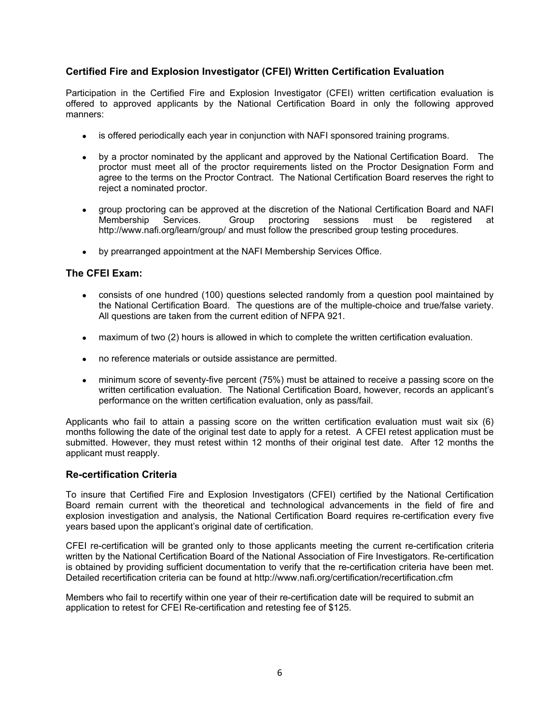#### **Certified Fire and Explosion Investigator (CFEI) Written Certification Evaluation**

Participation in the Certified Fire and Explosion Investigator (CFEI) written certification evaluation is offered to approved applicants by the National Certification Board in only the following approved manners:

- is offered periodically each year in conjunction with NAFI sponsored training programs.
- by a proctor nominated by the applicant and approved by the National Certification Board. The proctor must meet all of the proctor requirements listed on the Proctor Designation Form and agree to the terms on the Proctor Contract. The National Certification Board reserves the right to reject a nominated proctor.
- group proctoring can be approved at the discretion of the National Certification Board and NAFI Membership Services. Group proctoring sessions must be registered at http://www.nafi.org/learn/group/ and must follow the prescribed group testing procedures.
- by prearranged appointment at the NAFI Membership Services Office.

#### **The CFEI Exam:**

- consists of one hundred (100) questions selected randomly from a question pool maintained by the National Certification Board. The questions are of the multiple-choice and true/false variety. All questions are taken from the current edition of NFPA 921.
- maximum of two (2) hours is allowed in which to complete the written certification evaluation.
- no reference materials or outside assistance are permitted.
- minimum score of seventy-five percent (75%) must be attained to receive a passing score on the written certification evaluation. The National Certification Board, however, records an applicant's performance on the written certification evaluation, only as pass/fail.

Applicants who fail to attain a passing score on the written certification evaluation must wait six (6) months following the date of the original test date to apply for a retest. A CFEI retest application must be submitted. However, they must retest within 12 months of their original test date. After 12 months the applicant must reapply.

#### **Re-certification Criteria**

To insure that Certified Fire and Explosion Investigators (CFEI) certified by the National Certification Board remain current with the theoretical and technological advancements in the field of fire and explosion investigation and analysis, the National Certification Board requires re-certification every five years based upon the applicant's original date of certification.

CFEI re-certification will be granted only to those applicants meeting the current re-certification criteria written by the National Certification Board of the National Association of Fire Investigators. Re-certification is obtained by providing sufficient documentation to verify that the re-certification criteria have been met. Detailed recertification criteria can be found at http://www.nafi.org/certification/recertification.cfm

Members who fail to recertify within one year of their re-certification date will be required to submit an application to retest for CFEI Re-certification and retesting fee of \$125.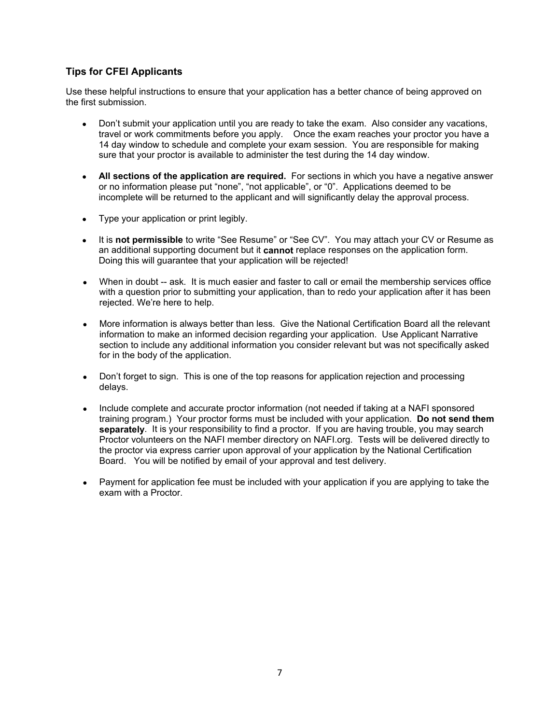#### **Tips for CFEI Applicants**

Use these helpful instructions to ensure that your application has a better chance of being approved on the first submission.

- Don't submit your application until you are ready to take the exam. Also consider any vacations, travel or work commitments before you apply. Once the exam reaches your proctor you have a 14 day window to schedule and complete your exam session. You are responsible for making sure that your proctor is available to administer the test during the 14 day window.
- **All sections of the application are required.** For sections in which you have a negative answer or no information please put "none", "not applicable", or "0". Applications deemed to be incomplete will be returned to the applicant and will significantly delay the approval process.
- Type your application or print legibly.
- It is **not permissible** to write "See Resume" or "See CV". You may attach your CV or Resume as an additional supporting document but it **cannot** replace responses on the application form. Doing this will guarantee that your application will be rejected!
- When in doubt -- ask. It is much easier and faster to call or email the membership services office with a question prior to submitting your application, than to redo your application after it has been rejected. We're here to help.
- More information is always better than less. Give the National Certification Board all the relevant information to make an informed decision regarding your application. Use Applicant Narrative section to include any additional information you consider relevant but was not specifically asked for in the body of the application.
- Don't forget to sign. This is one of the top reasons for application rejection and processing delays.
- Include complete and accurate proctor information (not needed if taking at a NAFI sponsored training program.) Your proctor forms must be included with your application. **Do not send them separately**. It is your responsibility to find a proctor. If you are having trouble, you may search Proctor volunteers on the NAFI member directory on NAFI.org. Tests will be delivered directly to the proctor via express carrier upon approval of your application by the National Certification Board. You will be notified by email of your approval and test delivery.
- Payment for application fee must be included with your application if you are applying to take the exam with a Proctor.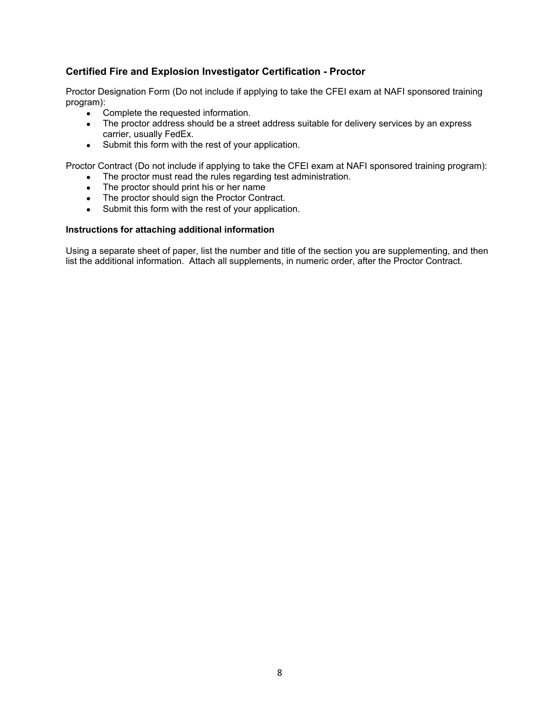#### **Certified Fire and Explosion Investigator Certification - Proctor**

Proctor Designation Form (Do not include if applying to take the CFEI exam at NAFI sponsored training program):

- Complete the requested information.
- The proctor address should be a street address suitable for delivery services by an express carrier, usually FedEx.
- Submit this form with the rest of your application.

Proctor Contract (Do not include if applying to take the CFEI exam at NAFI sponsored training program):

- The proctor must read the rules regarding test administration.
- The proctor should print his or her name
- The proctor should sign the Proctor Contract.<br>• Submit this form with the rest of your annicati
- Submit this form with the rest of your application.

#### **Instructions for attaching additional information**

Using a separate sheet of paper, list the number and title of the section you are supplementing, and then list the additional information. Attach all supplements, in numeric order, after the Proctor Contract.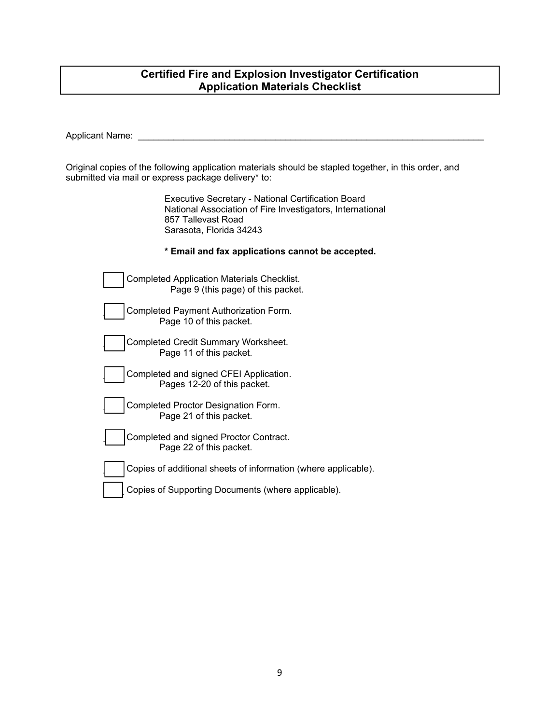#### **Certified Fire and Explosion Investigator Certification Application Materials Checklist**

Applicant Name:

Original copies of the following application materials should be stapled together, in this order, and submitted via mail or express package delivery\* to:

> Executive Secretary - National Certification Board National Association of Fire Investigators, International 857 Tallevast Road Sarasota, Florida 34243

#### **\* Email and fax applications cannot be accepted.**

| Completed Application Materials Checklist.<br>Page 9 (this page) of this packet. |
|----------------------------------------------------------------------------------|
| Completed Payment Authorization Form.<br>Page 10 of this packet.                 |
| Completed Credit Summary Worksheet.<br>Page 11 of this packet.                   |
| Completed and signed CFEI Application.<br>Pages 12-20 of this packet.            |

Completed Proctor Designation Form. Page 21 of this packet.

Completed and signed Proctor Contract. Page 22 of this packet.

Copies of additional sheets of information (where applicable).

Copies of Supporting Documents (where applicable).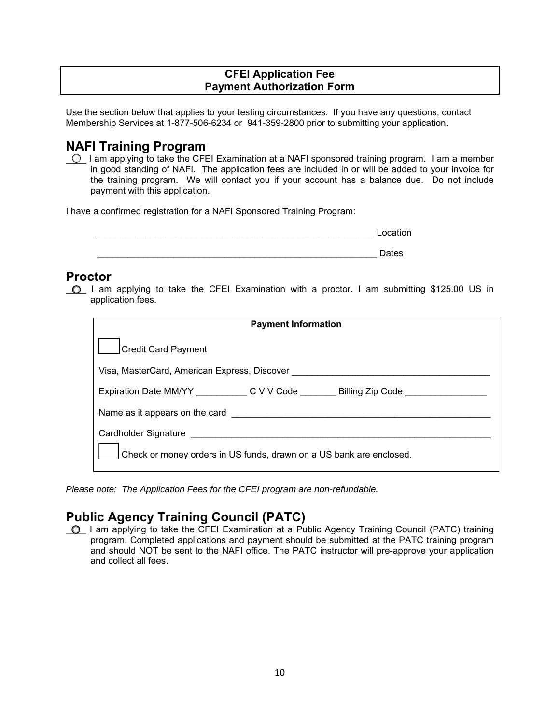#### **CFEI Application Fee Payment Authorization Form**

Use the section below that applies to your testing circumstances. If you have any questions, contact Membership Services at 1-877-506-6234 or 941-359-2800 prior to submitting your application.

## **NAFI Training Program**

 $\circ$  I am applying to take the CFEI Examination at a NAFI sponsored training program. I am a member in good standing of NAFI. The application fees are included in or will be added to your invoice for the training program. We will contact you if your account has a balance due. Do not include payment with this application.

I have a confirmed registration for a NAFI Sponsored Training Program:

|       | Location |
|-------|----------|
|       |          |
| _____ | Dates    |

## **Proctor**

\_\_\_\_ I am applying to take the CFEI Examination with a proctor. I am submitting \$125.00 US in application fees.

| <b>Payment Information</b>                                                        |  |  |  |
|-----------------------------------------------------------------------------------|--|--|--|
| <b>Credit Card Payment</b>                                                        |  |  |  |
| Visa, MasterCard, American Express, Discover                                      |  |  |  |
| Expiration Date MM/YY _____________C V V Code _________Billing Zip Code _________ |  |  |  |
| Name as it appears on the card                                                    |  |  |  |
|                                                                                   |  |  |  |
| Check or money orders in US funds, drawn on a US bank are enclosed.               |  |  |  |

*Please note: The Application Fees for the CFEI program are non-refundable.* 

## **Public Agency Training Council (PATC)**

\_\_\_\_ I am applying to take the CFEI Examination at a Public Agency Training Council (PATC) training program. Completed applications and payment should be submitted at the PATC training program and should NOT be sent to the NAFI office. The PATC instructor will pre-approve your application and collect all fees.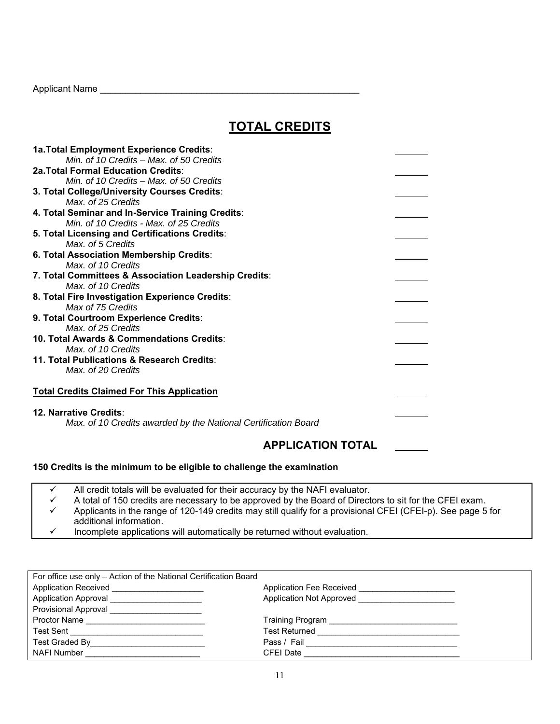Applicant Name \_\_\_\_\_\_\_\_\_\_\_\_\_\_\_\_\_\_\_\_\_\_\_\_\_\_\_\_\_\_\_\_\_\_\_\_\_\_\_\_\_\_\_\_\_\_\_\_\_\_\_

## **TOTAL CREDITS**

| <b>2a. Total Formal Education Credits:</b><br>Min. of 10 Credits – Max. of 50 Credits<br>3. Total College/University Courses Credits:<br>Max. of 25 Credits<br>4. Total Seminar and In-Service Training Credits:<br>Min. of 10 Credits - Max. of 25 Credits |
|-------------------------------------------------------------------------------------------------------------------------------------------------------------------------------------------------------------------------------------------------------------|
|                                                                                                                                                                                                                                                             |
|                                                                                                                                                                                                                                                             |
|                                                                                                                                                                                                                                                             |
|                                                                                                                                                                                                                                                             |
|                                                                                                                                                                                                                                                             |
|                                                                                                                                                                                                                                                             |
| 5. Total Licensing and Certifications Credits:                                                                                                                                                                                                              |
| Max, of 5 Credits                                                                                                                                                                                                                                           |
| 6. Total Association Membership Credits:                                                                                                                                                                                                                    |
| Max, of 10 Credits                                                                                                                                                                                                                                          |
| 7. Total Committees & Association Leadership Credits:                                                                                                                                                                                                       |
| Max, of 10 Credits                                                                                                                                                                                                                                          |
| 8. Total Fire Investigation Experience Credits:                                                                                                                                                                                                             |
| Max of 75 Credits                                                                                                                                                                                                                                           |
| 9. Total Courtroom Experience Credits:                                                                                                                                                                                                                      |
| Max, of 25 Credits                                                                                                                                                                                                                                          |
| 10. Total Awards & Commendations Credits:                                                                                                                                                                                                                   |
| Max. of 10 Credits                                                                                                                                                                                                                                          |
| 11. Total Publications & Research Credits:                                                                                                                                                                                                                  |
| Max, of 20 Credits                                                                                                                                                                                                                                          |
|                                                                                                                                                                                                                                                             |
| <b>Total Credits Claimed For This Application</b>                                                                                                                                                                                                           |
|                                                                                                                                                                                                                                                             |
| 12. Narrative Credits:                                                                                                                                                                                                                                      |
| Max. of 10 Credits awarded by the National Certification Board                                                                                                                                                                                              |

### **APPLICATION TOTAL**

#### **150 Credits is the minimum to be eligible to challenge the examination**

- $\checkmark$  All credit totals will be evaluated for their accuracy by the NAFI evaluator.
- $\checkmark$  A total of 150 credits are necessary to be approved by the Board of Directors to sit for the CFEI exam.<br>Σ Applicants in the range of 120-149 credits may still qualify for a provisional CFEI (CEEI-n). See page 5 Applicants in the range of 120-149 credits may still qualify for a provisional CFEI (CFEI-p). See page 5 for additional information.
- $\checkmark$  Incomplete applications will automatically be returned without evaluation.

| For office use only - Action of the National Certification Board                                                                                                                                                               |                                                                                                                                                                                                                                |  |
|--------------------------------------------------------------------------------------------------------------------------------------------------------------------------------------------------------------------------------|--------------------------------------------------------------------------------------------------------------------------------------------------------------------------------------------------------------------------------|--|
| Application Received ______________________                                                                                                                                                                                    | Application Fee Received <b>Example 20</b>                                                                                                                                                                                     |  |
| Application Approval ________________________                                                                                                                                                                                  | Application Not Approved _______________________                                                                                                                                                                               |  |
|                                                                                                                                                                                                                                |                                                                                                                                                                                                                                |  |
| Proctor Name _____________________________                                                                                                                                                                                     |                                                                                                                                                                                                                                |  |
|                                                                                                                                                                                                                                | Test Returned and the state of the state of the state of the state of the state of the state of the state of the state of the state of the state of the state of the state of the state of the state of the state of the state |  |
|                                                                                                                                                                                                                                | Pass / Fail __________________________________                                                                                                                                                                                 |  |
| NAFI Number and the contract of the contract of the contract of the contract of the contract of the contract of the contract of the contract of the contract of the contract of the contract of the contract of the contract o | CFEI Date                                                                                                                                                                                                                      |  |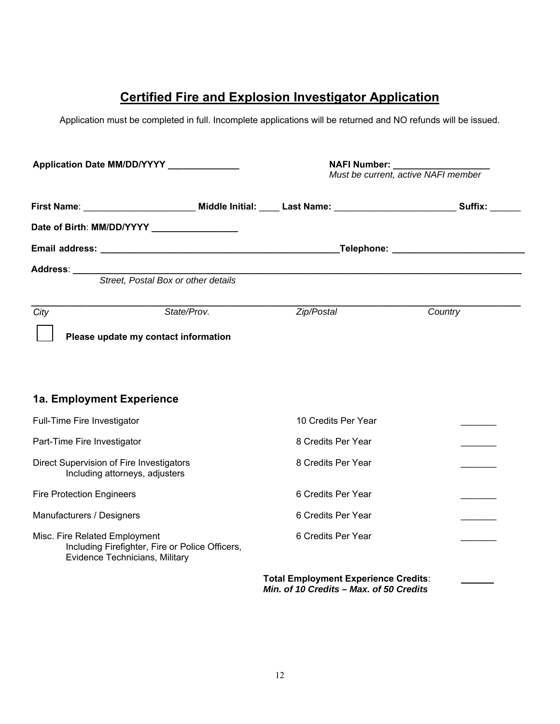## **Certified Fire and Explosion Investigator Application**

Application must be completed in full. Incomplete applications will be returned and NO refunds will be issued.

| Application Date MM/DD/YYYY                                                                                        |             | NAFI Number: __________<br>Must be current, active NAFI member                         |         |
|--------------------------------------------------------------------------------------------------------------------|-------------|----------------------------------------------------------------------------------------|---------|
|                                                                                                                    |             |                                                                                        |         |
| Date of Birth: MM/DD/YYYY _________________                                                                        |             |                                                                                        |         |
|                                                                                                                    |             |                                                                                        |         |
|                                                                                                                    |             |                                                                                        |         |
| City<br>Please update my contact information                                                                       | State/Prov. | Zip/Postal                                                                             | Country |
| 1a. Employment Experience                                                                                          |             |                                                                                        |         |
| Full-Time Fire Investigator                                                                                        |             | 10 Credits Per Year                                                                    |         |
| Part-Time Fire Investigator                                                                                        |             | 8 Credits Per Year                                                                     |         |
| Direct Supervision of Fire Investigators<br>Including attorneys, adjusters                                         |             | 8 Credits Per Year                                                                     |         |
| <b>Fire Protection Engineers</b>                                                                                   |             | 6 Credits Per Year                                                                     |         |
| Manufacturers / Designers                                                                                          |             | 6 Credits Per Year                                                                     |         |
| Misc. Fire Related Employment<br>Including Firefighter, Fire or Police Officers,<br>Evidence Technicians, Military |             | 6 Credits Per Year                                                                     |         |
|                                                                                                                    |             | <b>Total Employment Experience Credits:</b><br>Min. of 10 Credits - Max. of 50 Credits |         |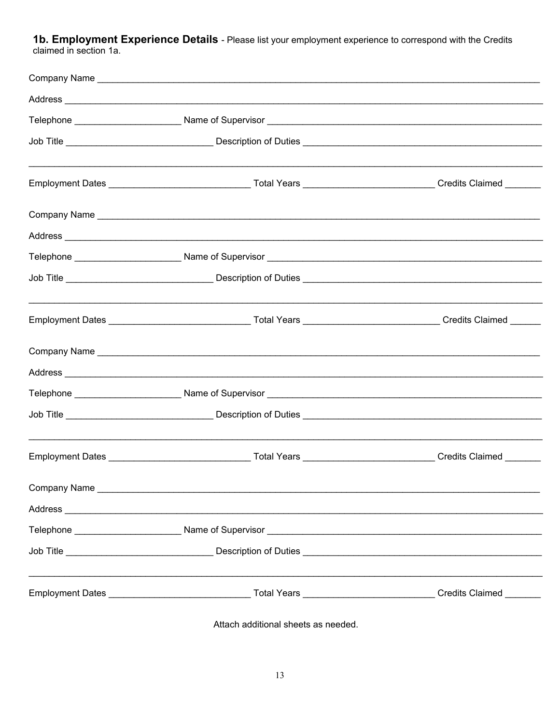1b. Employment Experience Details - Please list your employment experience to correspond with the Credits claimed in section 1a.

| Address <b>Address Address Address <b>Address Address  Address  Address <i>Address Address</i></b></b>                                                                                                                                    |  |
|-------------------------------------------------------------------------------------------------------------------------------------------------------------------------------------------------------------------------------------------|--|
|                                                                                                                                                                                                                                           |  |
|                                                                                                                                                                                                                                           |  |
|                                                                                                                                                                                                                                           |  |
|                                                                                                                                                                                                                                           |  |
| Address <b>Address Address Address Address Address Address Address Address Address Address Address Address Address Address Address Address Address Address Address Address Address Add</b>                                                |  |
|                                                                                                                                                                                                                                           |  |
| Job Title <b>Commission Control Control Control</b> Description of Duties <b>Commission Control Control Control Control Control Control Control Control Control Control Control Control Control Control Control Control Control Contr</b> |  |
| Employment Dates ___________________________________Total Years _______________________________Credits Claimed ______                                                                                                                     |  |
|                                                                                                                                                                                                                                           |  |
|                                                                                                                                                                                                                                           |  |
|                                                                                                                                                                                                                                           |  |
| Job Title <b>Commission Commission Control</b> Description of Duties <b>Commission Commission Commission</b>                                                                                                                              |  |
|                                                                                                                                                                                                                                           |  |
|                                                                                                                                                                                                                                           |  |
|                                                                                                                                                                                                                                           |  |
|                                                                                                                                                                                                                                           |  |
| Job Title <b>Commission Control Control Control</b> Description of Duties <b>Commission Control Control Control Control Control Control Control Control Control Control Control Control Control Control Control Control Control Contr</b> |  |
| Employment Dates ___________________________________Total Years _____________________________Credits Claimed ________                                                                                                                     |  |

Attach additional sheets as needed.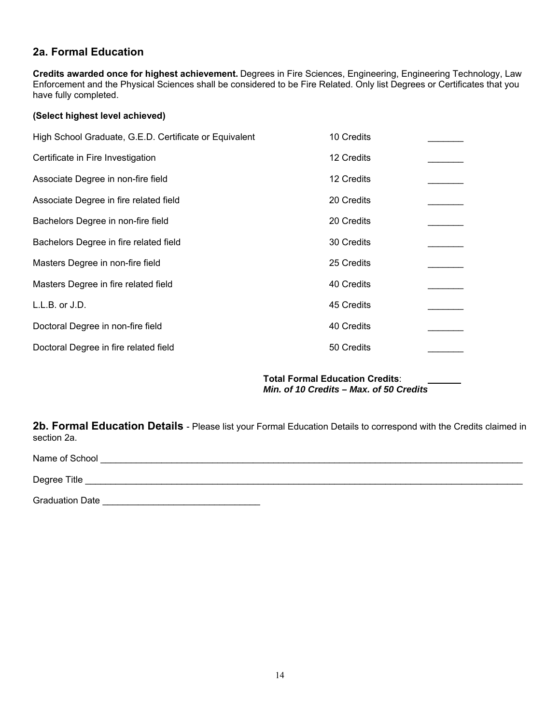### **2a. Formal Education**

**Credits awarded once for highest achievement.** Degrees in Fire Sciences, Engineering, Engineering Technology, Law Enforcement and the Physical Sciences shall be considered to be Fire Related. Only list Degrees or Certificates that you have fully completed.

#### **(Select highest level achieved)**

| High School Graduate, G.E.D. Certificate or Equivalent | 10 Credits |  |
|--------------------------------------------------------|------------|--|
| Certificate in Fire Investigation                      | 12 Credits |  |
| Associate Degree in non-fire field                     | 12 Credits |  |
| Associate Degree in fire related field                 | 20 Credits |  |
| Bachelors Degree in non-fire field                     | 20 Credits |  |
| Bachelors Degree in fire related field                 | 30 Credits |  |
| Masters Degree in non-fire field                       | 25 Credits |  |
| Masters Degree in fire related field                   | 40 Credits |  |
| $L.L.B.$ or $J.D.$                                     | 45 Credits |  |
| Doctoral Degree in non-fire field                      | 40 Credits |  |
| Doctoral Degree in fire related field                  | 50 Credits |  |
|                                                        |            |  |

**Total Formal Education Credits**: *Min. of 10 Credits – Max. of 50 Credits*

**2b. Formal Education Details** - Please list your Formal Education Details to correspond with the Credits claimed in section 2a.

Name of School \_\_\_\_\_\_\_\_\_\_\_\_\_\_\_\_\_\_\_\_\_\_\_\_\_\_\_\_\_\_\_\_\_\_\_\_\_\_\_\_\_\_\_\_\_\_\_\_\_\_\_\_\_\_\_\_\_\_\_\_\_\_\_\_\_\_\_\_\_\_\_\_\_\_\_\_\_\_\_\_\_\_\_

Degree Title \_\_\_\_\_\_\_\_\_\_\_\_\_\_\_\_\_\_\_\_\_\_\_\_\_\_\_\_\_\_\_\_\_\_\_\_\_\_\_\_\_\_\_\_\_\_\_\_\_\_\_\_\_\_\_\_\_\_\_\_\_\_\_\_\_\_\_\_\_\_\_\_\_\_\_\_\_\_\_\_\_\_\_\_\_\_

Graduation Date \_\_\_\_\_\_\_\_\_\_\_\_\_\_\_\_\_\_\_\_\_\_\_\_\_\_\_\_\_\_\_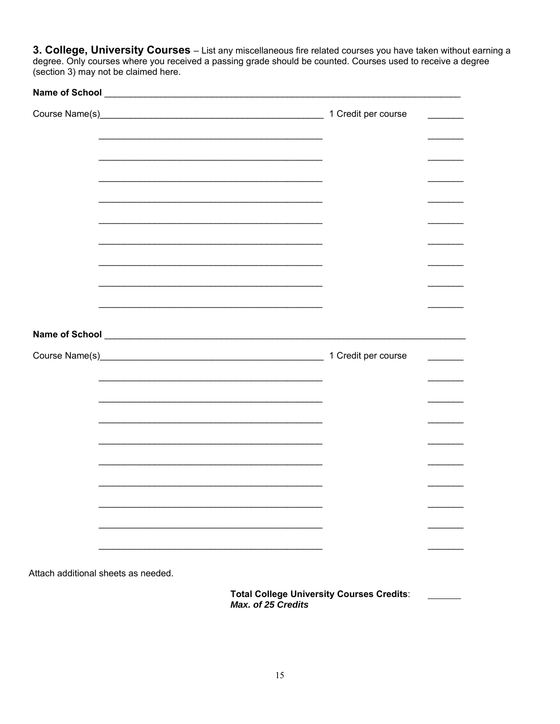3. College, University Courses - List any miscellaneous fire related courses you have taken without earning a degree. Only courses where you received a passing grade should be counted. Courses used to receive a degree (section 3) may not be claimed here.

**Total College University Courses Credits:**  $\overline{\phantom{a}}$ Max. of 25 Credits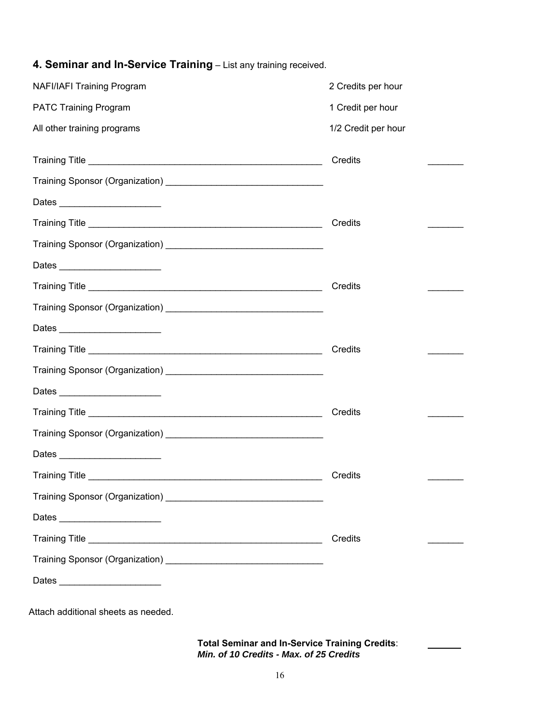| <b>NAFI/IAFI Training Program</b>   | 2 Credits per hour  |
|-------------------------------------|---------------------|
| <b>PATC Training Program</b>        | 1 Credit per hour   |
| All other training programs         | 1/2 Credit per hour |
|                                     | Credits             |
|                                     |                     |
|                                     |                     |
|                                     | Credits             |
|                                     |                     |
|                                     |                     |
|                                     | Credits             |
|                                     |                     |
| Dates _________________________     |                     |
|                                     | Credits             |
|                                     |                     |
|                                     |                     |
|                                     | Credits             |
|                                     |                     |
|                                     |                     |
|                                     | Credits             |
|                                     |                     |
| Dates                               |                     |
|                                     | Credits             |
|                                     |                     |
|                                     |                     |
| Attach additional sheets as needed. |                     |

### **4. Seminar and In-Service Training** – List any training received.

**Total Seminar and In-Service Training Credits**: *Min. of 10 Credits - Max. of 25 Credits*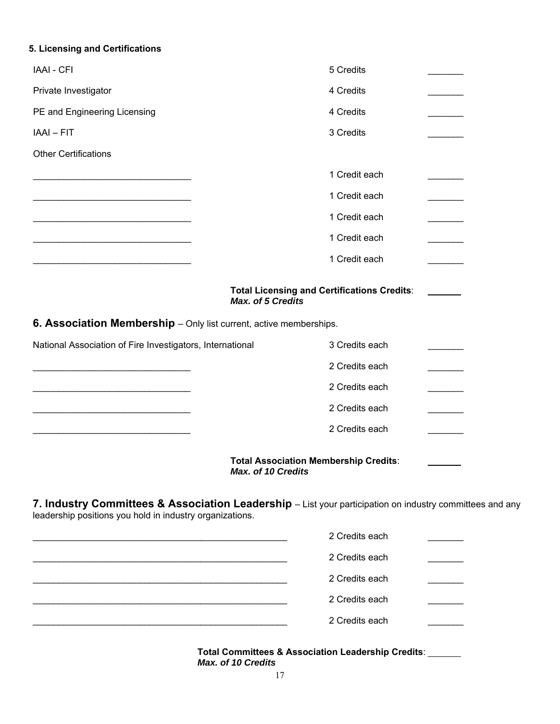## **5. Licensing and Certifications**

| <b>IAAI - CFI</b>                                                                                                                                                    | 5 Credits                                          |  |
|----------------------------------------------------------------------------------------------------------------------------------------------------------------------|----------------------------------------------------|--|
| Private Investigator                                                                                                                                                 | 4 Credits                                          |  |
| PE and Engineering Licensing                                                                                                                                         | 4 Credits                                          |  |
| IAAI - FIT                                                                                                                                                           | 3 Credits                                          |  |
| <b>Other Certifications</b>                                                                                                                                          |                                                    |  |
|                                                                                                                                                                      | 1 Credit each                                      |  |
|                                                                                                                                                                      | 1 Credit each                                      |  |
|                                                                                                                                                                      | 1 Credit each                                      |  |
|                                                                                                                                                                      | 1 Credit each                                      |  |
|                                                                                                                                                                      | 1 Credit each                                      |  |
| Max. of 5 Credits                                                                                                                                                    | <b>Total Licensing and Certifications Credits:</b> |  |
| 6. Association Membership - Only list current, active memberships.                                                                                                   |                                                    |  |
| National Association of Fire Investigators, International                                                                                                            | 3 Credits each                                     |  |
|                                                                                                                                                                      | 2 Credits each                                     |  |
|                                                                                                                                                                      | 2 Credits each                                     |  |
|                                                                                                                                                                      | 2 Credits each                                     |  |
|                                                                                                                                                                      | 2 Credits each                                     |  |
| Max. of 10 Credits                                                                                                                                                   | <b>Total Association Membership Credits:</b>       |  |
| 7. Industry Committees & Association Leadership - List your participation on industry committees and any<br>leadership positions you hold in industry organizations. |                                                    |  |
|                                                                                                                                                                      | 2 Credits each                                     |  |
|                                                                                                                                                                      | 2 Credits each                                     |  |
|                                                                                                                                                                      | 2 Credits each                                     |  |
|                                                                                                                                                                      | 2 Credits each                                     |  |
|                                                                                                                                                                      | 2 Credits each                                     |  |

| <b>Total Committees &amp; Association Leadership Credits:</b> |  |
|---------------------------------------------------------------|--|
| Max. of 10 Credits                                            |  |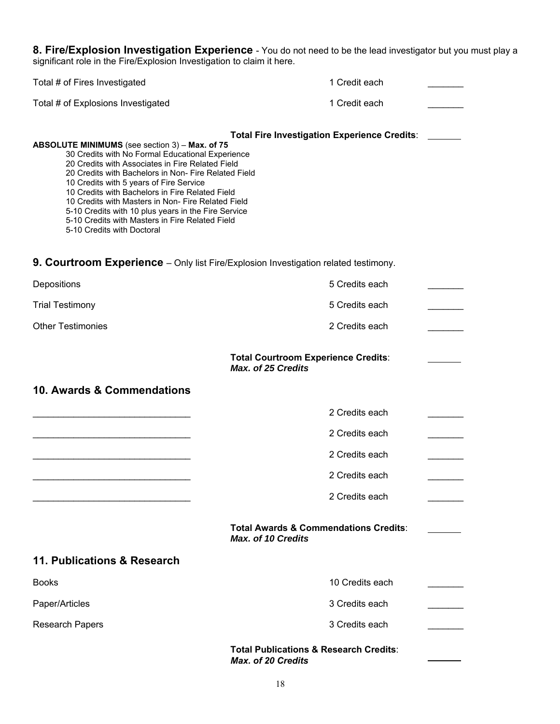**8. Fire/Explosion Investigation Experience** - You do not need to be the lead investigator but you must play a significant role in the Fire/Explosion Investigation to claim it here.

| Total # of Fires Investigated                                                                                                                                                                                                                                                                                                                                                                                                                                                                              | 1 Credit each                                                           |  |
|------------------------------------------------------------------------------------------------------------------------------------------------------------------------------------------------------------------------------------------------------------------------------------------------------------------------------------------------------------------------------------------------------------------------------------------------------------------------------------------------------------|-------------------------------------------------------------------------|--|
| Total # of Explosions Investigated                                                                                                                                                                                                                                                                                                                                                                                                                                                                         | 1 Credit each                                                           |  |
| ABSOLUTE MINIMUMS (see section 3) - Max. of 75<br>30 Credits with No Formal Educational Experience<br>20 Credits with Associates in Fire Related Field<br>20 Credits with Bachelors in Non- Fire Related Field<br>10 Credits with 5 years of Fire Service<br>10 Credits with Bachelors in Fire Related Field<br>10 Credits with Masters in Non- Fire Related Field<br>5-10 Credits with 10 plus years in the Fire Service<br>5-10 Credits with Masters in Fire Related Field<br>5-10 Credits with Doctoral | <b>Total Fire Investigation Experience Credits:</b>                     |  |
| 9. Courtroom Experience - Only list Fire/Explosion Investigation related testimony.                                                                                                                                                                                                                                                                                                                                                                                                                        |                                                                         |  |
| Depositions                                                                                                                                                                                                                                                                                                                                                                                                                                                                                                | 5 Credits each                                                          |  |
| <b>Trial Testimony</b>                                                                                                                                                                                                                                                                                                                                                                                                                                                                                     | 5 Credits each                                                          |  |
| <b>Other Testimonies</b>                                                                                                                                                                                                                                                                                                                                                                                                                                                                                   | 2 Credits each                                                          |  |
|                                                                                                                                                                                                                                                                                                                                                                                                                                                                                                            | <b>Total Courtroom Experience Credits:</b><br><b>Max. of 25 Credits</b> |  |
| 10. Awards & Commendations                                                                                                                                                                                                                                                                                                                                                                                                                                                                                 |                                                                         |  |
|                                                                                                                                                                                                                                                                                                                                                                                                                                                                                                            | 2 Credits each                                                          |  |
|                                                                                                                                                                                                                                                                                                                                                                                                                                                                                                            | 2 Credits each                                                          |  |
|                                                                                                                                                                                                                                                                                                                                                                                                                                                                                                            | 2 Credits each                                                          |  |
|                                                                                                                                                                                                                                                                                                                                                                                                                                                                                                            | 2 Credits each                                                          |  |
|                                                                                                                                                                                                                                                                                                                                                                                                                                                                                                            | 2 Credits each                                                          |  |
|                                                                                                                                                                                                                                                                                                                                                                                                                                                                                                            | <b>Total Awards &amp; Commendations Credits:</b><br>Max. of 10 Credits  |  |
| 11. Publications & Research                                                                                                                                                                                                                                                                                                                                                                                                                                                                                |                                                                         |  |
| <b>Books</b>                                                                                                                                                                                                                                                                                                                                                                                                                                                                                               | 10 Credits each                                                         |  |
| Paper/Articles                                                                                                                                                                                                                                                                                                                                                                                                                                                                                             | 3 Credits each                                                          |  |
| <b>Research Papers</b>                                                                                                                                                                                                                                                                                                                                                                                                                                                                                     | 3 Credits each                                                          |  |
|                                                                                                                                                                                                                                                                                                                                                                                                                                                                                                            | <b>Total Publications &amp; Research Credits:</b>                       |  |

*Max. of 20 Credits*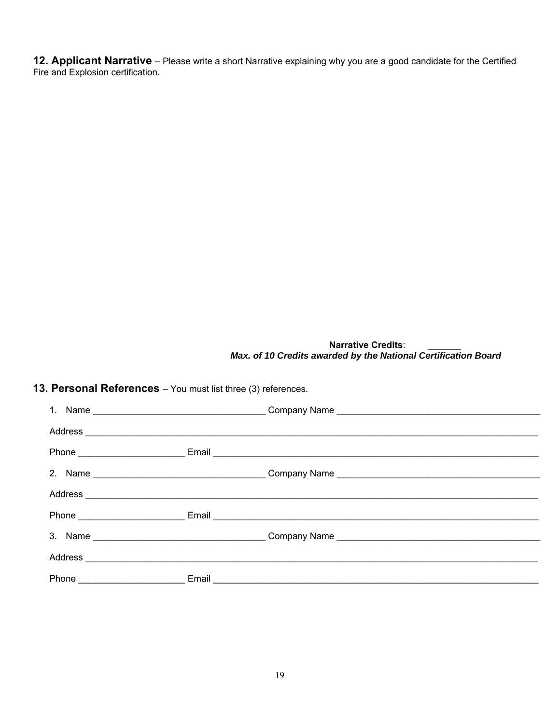**12. Applicant Narrative** – Please write a short Narrative explaining why you are a good candidate for the Certified Fire and Explosion certification.

> **Narrative Credits**: *Max. of 10 Credits awarded by the National Certification Board*

| 13. Personal References - You must list three (3) references. |  |                                                                                  |  |  |
|---------------------------------------------------------------|--|----------------------------------------------------------------------------------|--|--|
|                                                               |  |                                                                                  |  |  |
|                                                               |  |                                                                                  |  |  |
|                                                               |  |                                                                                  |  |  |
|                                                               |  | 2. Name ___________________________________Company Name ________________________ |  |  |
|                                                               |  |                                                                                  |  |  |
|                                                               |  |                                                                                  |  |  |
|                                                               |  | 3. Name ___________________________________Company Name ________________________ |  |  |
|                                                               |  |                                                                                  |  |  |
|                                                               |  |                                                                                  |  |  |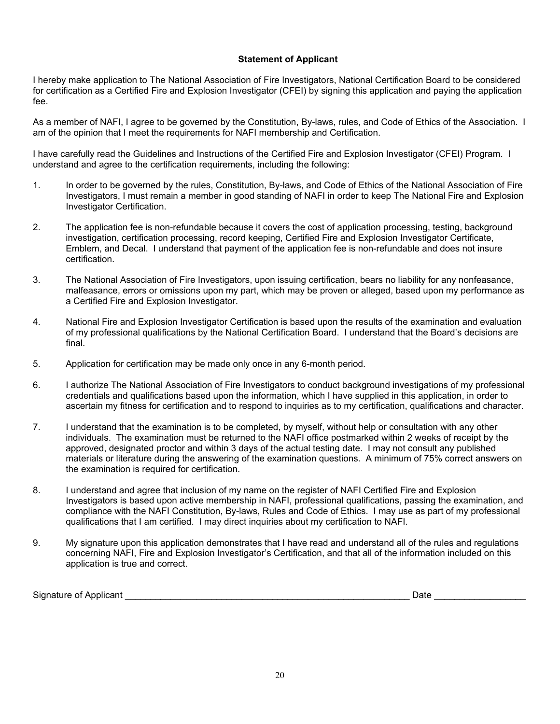#### **Statement of Applicant**

I hereby make application to The National Association of Fire Investigators, National Certification Board to be considered for certification as a Certified Fire and Explosion Investigator (CFEI) by signing this application and paying the application fee.

As a member of NAFI, I agree to be governed by the Constitution, By-laws, rules, and Code of Ethics of the Association. I am of the opinion that I meet the requirements for NAFI membership and Certification.

I have carefully read the Guidelines and Instructions of the Certified Fire and Explosion Investigator (CFEI) Program. I understand and agree to the certification requirements, including the following:

- 1. In order to be governed by the rules, Constitution, By-laws, and Code of Ethics of the National Association of Fire Investigators, I must remain a member in good standing of NAFI in order to keep The National Fire and Explosion Investigator Certification.
- 2. The application fee is non-refundable because it covers the cost of application processing, testing, background investigation, certification processing, record keeping, Certified Fire and Explosion Investigator Certificate, Emblem, and Decal. I understand that payment of the application fee is non-refundable and does not insure certification.
- 3. The National Association of Fire Investigators, upon issuing certification, bears no liability for any nonfeasance, malfeasance, errors or omissions upon my part, which may be proven or alleged, based upon my performance as a Certified Fire and Explosion Investigator.
- 4. National Fire and Explosion Investigator Certification is based upon the results of the examination and evaluation of my professional qualifications by the National Certification Board. I understand that the Board's decisions are final.
- 5. Application for certification may be made only once in any 6-month period.
- 6. I authorize The National Association of Fire Investigators to conduct background investigations of my professional credentials and qualifications based upon the information, which I have supplied in this application, in order to ascertain my fitness for certification and to respond to inquiries as to my certification, qualifications and character.
- 7. I understand that the examination is to be completed, by myself, without help or consultation with any other individuals. The examination must be returned to the NAFI office postmarked within 2 weeks of receipt by the approved, designated proctor and within 3 days of the actual testing date. I may not consult any published materials or literature during the answering of the examination questions. A minimum of 75% correct answers on the examination is required for certification.
- 8. I understand and agree that inclusion of my name on the register of NAFI Certified Fire and Explosion Investigators is based upon active membership in NAFI, professional qualifications, passing the examination, and compliance with the NAFI Constitution, By-laws, Rules and Code of Ethics. I may use as part of my professional qualifications that I am certified. I may direct inquiries about my certification to NAFI.
- 9. My signature upon this application demonstrates that I have read and understand all of the rules and regulations concerning NAFI, Fire and Explosion Investigator's Certification, and that all of the information included on this application is true and correct.

| Signature of <sub>/</sub><br>Applicant | Jate |  |
|----------------------------------------|------|--|
|                                        |      |  |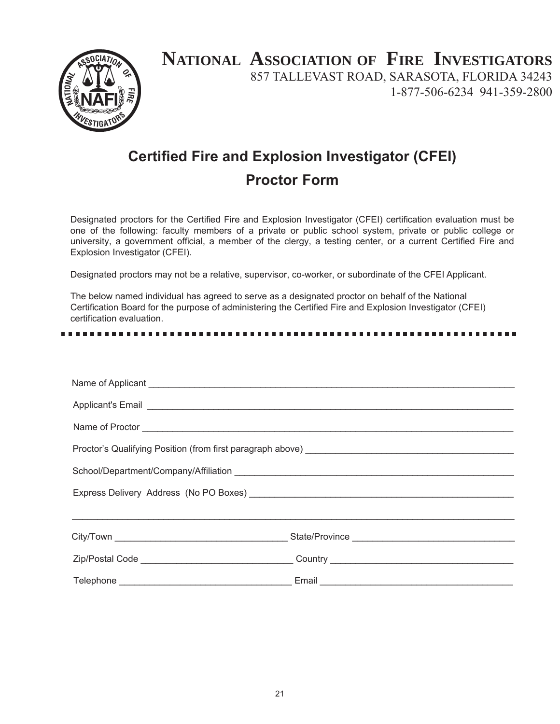

# **NATIONAL ASSOCIATION OF FIRE INVESTIGATORS**

857 TALLEVAST ROAD, SARASOTA, FLORIDA 34243 1-877-506-6234 941-359-2800

# **Certified Fire and Explosion Investigator (CFEI) Proctor Form**

Designated proctors for the Certified Fire and Explosion Investigator (CFEI) certification evaluation must be one of the following: faculty members of a private or public school system, private or public college or university, a government official, a member of the clergy, a testing center, or a current Certified Fire and Explosion Investigator (CFEI).

Designated proctors may not be a relative, supervisor, co-worker, or subordinate of the CFEI Applicant.

The below named individual has agreed to serve as a designated proctor on behalf of the National Certification Board for the purpose of administering the Certified Fire and Explosion Investigator (CFEI) certification evaluation.

| Applicant's Email <b>Applicant's Email</b> |                                                                                  |  |  |  |
|--------------------------------------------|----------------------------------------------------------------------------------|--|--|--|
|                                            |                                                                                  |  |  |  |
|                                            |                                                                                  |  |  |  |
|                                            |                                                                                  |  |  |  |
|                                            |                                                                                  |  |  |  |
|                                            |                                                                                  |  |  |  |
|                                            |                                                                                  |  |  |  |
|                                            | Zip/Postal Code ___________________________________Country _____________________ |  |  |  |
|                                            |                                                                                  |  |  |  |